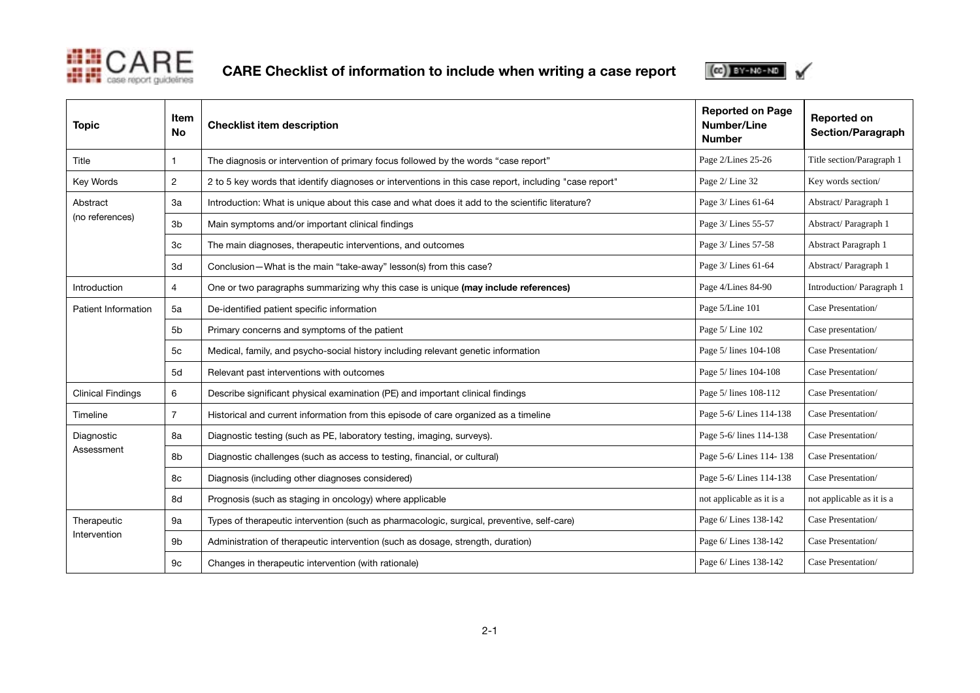

CARE Checklist of information to include when writing a case report



| <b>Topic</b>                | Item<br><b>No</b> | <b>Checklist item description</b>                                                                      | <b>Reported on Page</b><br><b>Number/Line</b><br><b>Number</b> | <b>Reported on</b><br>Section/Paragraph |
|-----------------------------|-------------------|--------------------------------------------------------------------------------------------------------|----------------------------------------------------------------|-----------------------------------------|
| Title                       | 1                 | The diagnosis or intervention of primary focus followed by the words "case report"                     | Page 2/Lines 25-26                                             | Title section/Paragraph 1               |
| Key Words                   | $\overline{c}$    | 2 to 5 key words that identify diagnoses or interventions in this case report, including "case report" | Page 2/ Line 32                                                | Key words section/                      |
| Abstract<br>(no references) | За                | Introduction: What is unique about this case and what does it add to the scientific literature?        | Page 3/ Lines 61-64                                            | Abstract/Paragraph 1                    |
|                             | 3 <sub>b</sub>    | Main symptoms and/or important clinical findings                                                       | Page 3/ Lines 55-57                                            | Abstract/Paragraph 1                    |
|                             | 3c                | The main diagnoses, therapeutic interventions, and outcomes                                            | Page 3/ Lines 57-58                                            | Abstract Paragraph 1                    |
|                             | 3d                | Conclusion-What is the main "take-away" lesson(s) from this case?                                      | Page 3/ Lines 61-64                                            | Abstract/Paragraph 1                    |
| Introduction                | 4                 | One or two paragraphs summarizing why this case is unique (may include references)                     | Page 4/Lines 84-90                                             | Introduction/Paragraph 1                |
| Patient Information         | 5a                | De-identified patient specific information                                                             | Page 5/Line 101                                                | Case Presentation/                      |
|                             | 5 <sub>b</sub>    | Primary concerns and symptoms of the patient                                                           | Page 5/Line 102                                                | Case presentation/                      |
|                             | 5c                | Medical, family, and psycho-social history including relevant genetic information                      | Page 5/ lines 104-108                                          | Case Presentation/                      |
|                             | 5d                | Relevant past interventions with outcomes                                                              | Page 5/ lines 104-108                                          | Case Presentation/                      |
| <b>Clinical Findings</b>    | 6                 | Describe significant physical examination (PE) and important clinical findings                         | Page 5/ lines 108-112                                          | Case Presentation/                      |
| Timeline                    | $\overline{7}$    | Historical and current information from this episode of care organized as a timeline                   | Page 5-6/Lines 114-138                                         | Case Presentation/                      |
| Diagnostic<br>Assessment    | 8a                | Diagnostic testing (such as PE, laboratory testing, imaging, surveys).                                 | Page 5-6/ lines 114-138                                        | Case Presentation/                      |
|                             | 8b                | Diagnostic challenges (such as access to testing, financial, or cultural)                              | Page 5-6/ Lines 114-138                                        | Case Presentation/                      |
|                             | 8c                | Diagnosis (including other diagnoses considered)                                                       | Page 5-6/Lines 114-138                                         | Case Presentation/                      |
|                             | 8d                | Prognosis (such as staging in oncology) where applicable                                               | not applicable as it is a                                      | not applicable as it is a               |
| Therapeutic<br>Intervention | 9а                | Types of therapeutic intervention (such as pharmacologic, surgical, preventive, self-care)             | Page 6/ Lines 138-142                                          | Case Presentation/                      |
|                             | 9b                | Administration of therapeutic intervention (such as dosage, strength, duration)                        | Page 6/ Lines 138-142                                          | Case Presentation/                      |
|                             | 9с                | Changes in therapeutic intervention (with rationale)                                                   | Page 6/ Lines 138-142                                          | Case Presentation/                      |